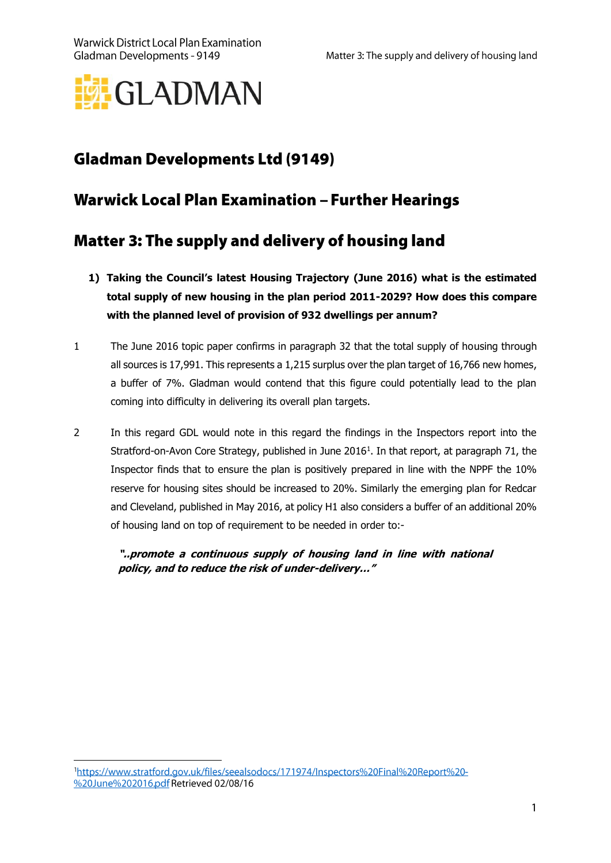

# **Gladman Developments Ltd (9149)**

## **Warwick Local Plan Examination - Further Hearings**

## Matter 3: The supply and delivery of housing land

- **1) Taking the Council's latest Housing Trajectory (June 2016) what is the estimated total supply of new housing in the plan period 2011-2029? How does this compare with the planned level of provision of 932 dwellings per annum?**
- 1 The June 2016 topic paper confirms in paragraph 32 that the total supply of housing through all sources is 17,991. This represents a 1,215 surplus over the plan target of 16,766 new homes, a buffer of 7%. Gladman would contend that this figure could potentially lead to the plan coming into difficulty in delivering its overall plan targets.
- 2 In this regard GDL would note in this regard the findings in the Inspectors report into the Stratford-on-Avon Core Strategy, published in June 2016<sup>1</sup>. In that report, at paragraph 71, the Inspector finds that to ensure the plan is positively prepared in line with the NPPF the 10% reserve for housing sites should be increased to 20%. Similarly the emerging plan for Redcar and Cleveland, published in May 2016, at policy H1 also considers a buffer of an additional 20% of housing land on top of requirement to be needed in order to:-

**"..promote a continuous supply of housing land in line with national policy, and to reduce the risk of under-delivery…"**

<sup>1</sup>https://www.stratford.gov.uk/files/seealsodocs/171974/Inspectors%20Final%20Report%20-%20June%202016.pdf Retrieved 02/08/16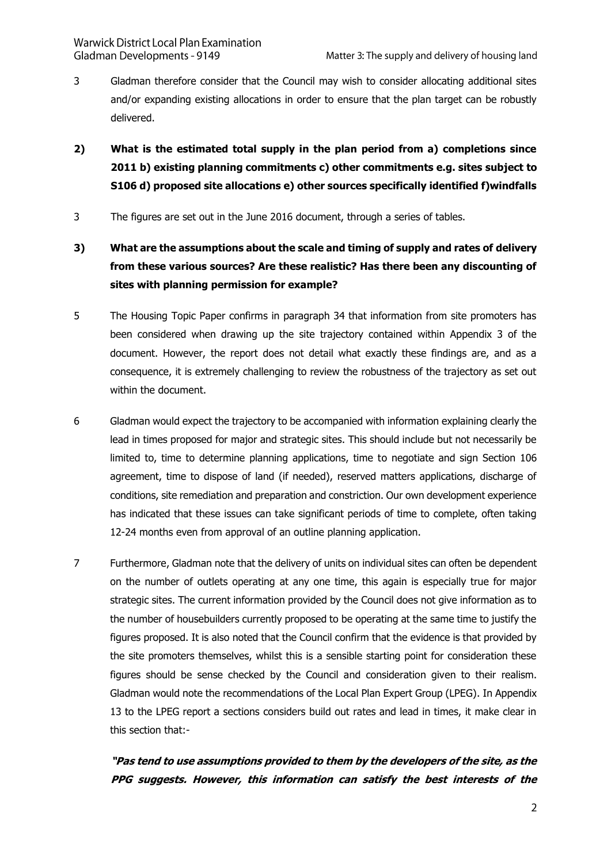- 3 Gladman therefore consider that the Council may wish to consider allocating additional sites and/or expanding existing allocations in order to ensure that the plan target can be robustly delivered.
- **2) What is the estimated total supply in the plan period from a) completions since 2011 b) existing planning commitments c) other commitments e.g. sites subject to S106 d) proposed site allocations e) other sources specifically identified f)windfalls**
- 3 The figures are set out in the June 2016 document, through a series of tables.
- **3) What are the assumptions about the scale and timing of supply and rates of delivery from these various sources? Are these realistic? Has there been any discounting of sites with planning permission for example?**
- 5 The Housing Topic Paper confirms in paragraph 34 that information from site promoters has been considered when drawing up the site trajectory contained within Appendix 3 of the document. However, the report does not detail what exactly these findings are, and as a consequence, it is extremely challenging to review the robustness of the trajectory as set out within the document.
- 6 Gladman would expect the trajectory to be accompanied with information explaining clearly the lead in times proposed for major and strategic sites. This should include but not necessarily be limited to, time to determine planning applications, time to negotiate and sign Section 106 agreement, time to dispose of land (if needed), reserved matters applications, discharge of conditions, site remediation and preparation and constriction. Our own development experience has indicated that these issues can take significant periods of time to complete, often taking 12-24 months even from approval of an outline planning application.
- 7 Furthermore, Gladman note that the delivery of units on individual sites can often be dependent on the number of outlets operating at any one time, this again is especially true for major strategic sites. The current information provided by the Council does not give information as to the number of housebuilders currently proposed to be operating at the same time to justify the figures proposed. It is also noted that the Council confirm that the evidence is that provided by the site promoters themselves, whilst this is a sensible starting point for consideration these figures should be sense checked by the Council and consideration given to their realism. Gladman would note the recommendations of the Local Plan Expert Group (LPEG). In Appendix 13 to the LPEG report a sections considers build out rates and lead in times, it make clear in this section that:-

#### **"Pas tend to use assumptions provided to them by the developers of the site, as the PPG suggests. However, this information can satisfy the best interests of the**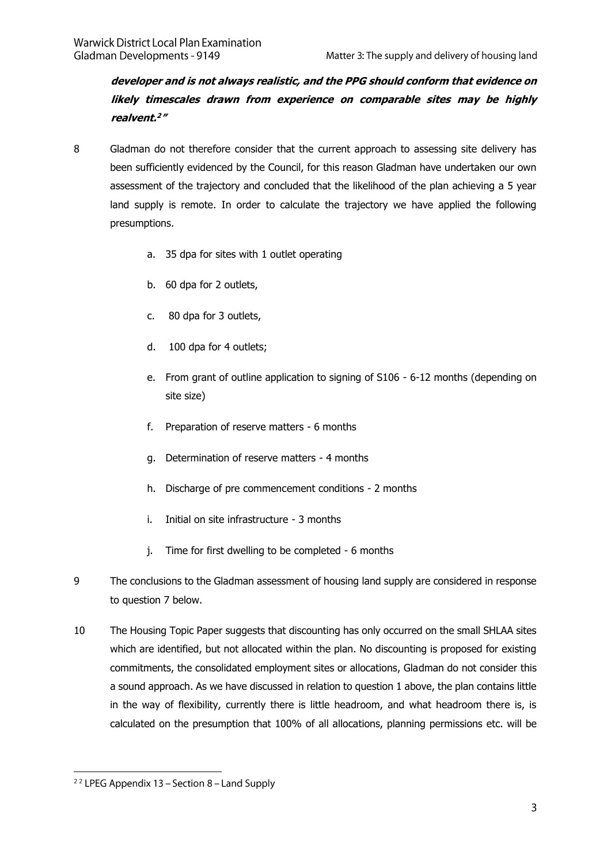**developer and is not always realistic, and the PPG should conform that evidence on likely timescales drawn from experience on comparable sites may be highly realvent. 2 "**

- 8 Gladman do not therefore consider that the current approach to assessing site delivery has been sufficiently evidenced by the Council, for this reason Gladman have undertaken our own assessment of the trajectory and concluded that the likelihood of the plan achieving a 5 year land supply is remote. In order to calculate the trajectory we have applied the following presumptions.
	- a. 35 dpa for sites with 1 outlet operating
	- b. 60 dpa for 2 outlets,
	- c. 80 dpa for 3 outlets,
	- d. 100 dpa for 4 outlets;
	- e. From grant of outline application to signing of S106 6-12 months (depending on site size)
	- f. Preparation of reserve matters 6 months
	- g. Determination of reserve matters 4 months
	- h. Discharge of pre commencement conditions 2 months
	- i. Initial on site infrastructure 3 months
	- j. Time for first dwelling to be completed 6 months
- 9 The conclusions to the Gladman assessment of housing land supply are considered in response to question 7 below.
- 10 The Housing Topic Paper suggests that discounting has only occurred on the small SHLAA sites which are identified, but not allocated within the plan. No discounting is proposed for existing commitments, the consolidated employment sites or allocations, Gladman do not consider this a sound approach. As we have discussed in relation to question 1 above, the plan contains little in the way of flexibility, currently there is little headroom, and what headroom there is, is calculated on the presumption that 100% of all allocations, planning permissions etc. will be

<sup>&</sup>lt;sup>22</sup> LPEG Appendix 13 – Section 8 – Land Supply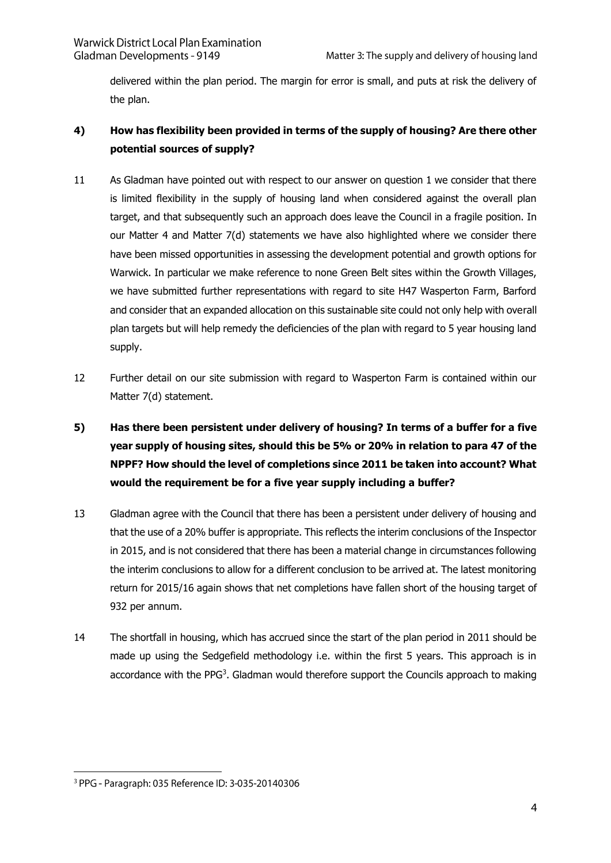delivered within the plan period. The margin for error is small, and puts at risk the delivery of the plan.

#### **4) How has flexibility been provided in terms of the supply of housing? Are there other potential sources of supply?**

- 11 As Gladman have pointed out with respect to our answer on question 1 we consider that there is limited flexibility in the supply of housing land when considered against the overall plan target, and that subsequently such an approach does leave the Council in a fragile position. In our Matter 4 and Matter 7(d) statements we have also highlighted where we consider there have been missed opportunities in assessing the development potential and growth options for Warwick. In particular we make reference to none Green Belt sites within the Growth Villages, we have submitted further representations with regard to site H47 Wasperton Farm, Barford and consider that an expanded allocation on this sustainable site could not only help with overall plan targets but will help remedy the deficiencies of the plan with regard to 5 year housing land supply.
- 12 Further detail on our site submission with regard to Wasperton Farm is contained within our Matter 7(d) statement.
- **5) Has there been persistent under delivery of housing? In terms of a buffer for a five year supply of housing sites, should this be 5% or 20% in relation to para 47 of the NPPF? How should the level of completions since 2011 be taken into account? What would the requirement be for a five year supply including a buffer?**
- 13 Gladman agree with the Council that there has been a persistent under delivery of housing and that the use of a 20% buffer is appropriate. This reflects the interim conclusions of the Inspector in 2015, and is not considered that there has been a material change in circumstances following the interim conclusions to allow for a different conclusion to be arrived at. The latest monitoring return for 2015/16 again shows that net completions have fallen short of the housing target of 932 per annum.
- 14 The shortfall in housing, which has accrued since the start of the plan period in 2011 should be made up using the Sedgefield methodology i.e. within the first 5 years. This approach is in accordance with the PPG<sup>3</sup>. Gladman would therefore support the Councils approach to making

<sup>&</sup>lt;sup>3</sup> PPG - Paragraph: 035 Reference ID: 3-035-20140306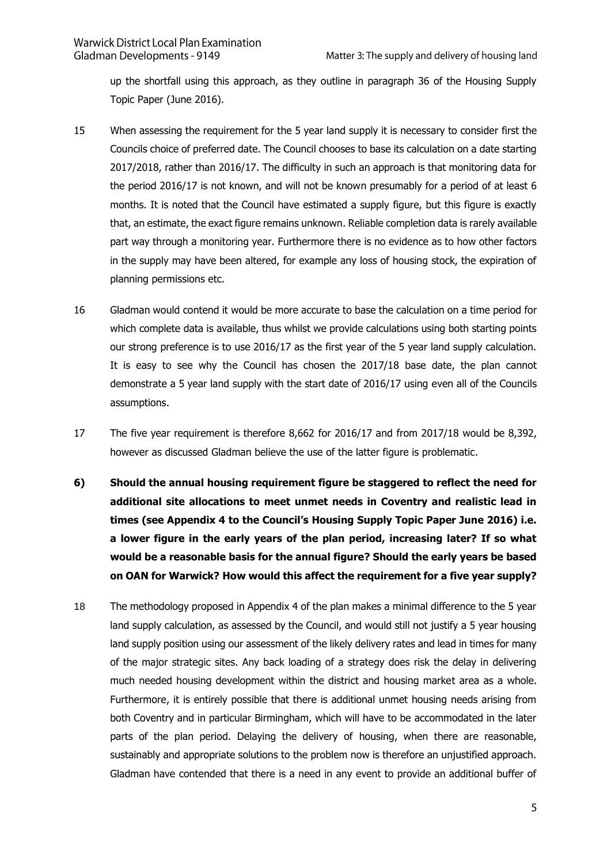up the shortfall using this approach, as they outline in paragraph 36 of the Housing Supply Topic Paper (June 2016).

- 15 When assessing the requirement for the 5 year land supply it is necessary to consider first the Councils choice of preferred date. The Council chooses to base its calculation on a date starting 2017/2018, rather than 2016/17. The difficulty in such an approach is that monitoring data for the period 2016/17 is not known, and will not be known presumably for a period of at least 6 months. It is noted that the Council have estimated a supply figure, but this figure is exactly that, an estimate, the exact figure remains unknown. Reliable completion data is rarely available part way through a monitoring year. Furthermore there is no evidence as to how other factors in the supply may have been altered, for example any loss of housing stock, the expiration of planning permissions etc.
- 16 Gladman would contend it would be more accurate to base the calculation on a time period for which complete data is available, thus whilst we provide calculations using both starting points our strong preference is to use 2016/17 as the first year of the 5 year land supply calculation. It is easy to see why the Council has chosen the 2017/18 base date, the plan cannot demonstrate a 5 year land supply with the start date of 2016/17 using even all of the Councils assumptions.
- 17 The five year requirement is therefore 8,662 for 2016/17 and from 2017/18 would be 8,392, however as discussed Gladman believe the use of the latter figure is problematic.
- **6) Should the annual housing requirement figure be staggered to reflect the need for additional site allocations to meet unmet needs in Coventry and realistic lead in times (see Appendix 4 to the Council's Housing Supply Topic Paper June 2016) i.e. a lower figure in the early years of the plan period, increasing later? If so what would be a reasonable basis for the annual figure? Should the early years be based on OAN for Warwick? How would this affect the requirement for a five year supply?**
- 18 The methodology proposed in Appendix 4 of the plan makes a minimal difference to the 5 year land supply calculation, as assessed by the Council, and would still not justify a 5 year housing land supply position using our assessment of the likely delivery rates and lead in times for many of the major strategic sites. Any back loading of a strategy does risk the delay in delivering much needed housing development within the district and housing market area as a whole. Furthermore, it is entirely possible that there is additional unmet housing needs arising from both Coventry and in particular Birmingham, which will have to be accommodated in the later parts of the plan period. Delaying the delivery of housing, when there are reasonable, sustainably and appropriate solutions to the problem now is therefore an unjustified approach. Gladman have contended that there is a need in any event to provide an additional buffer of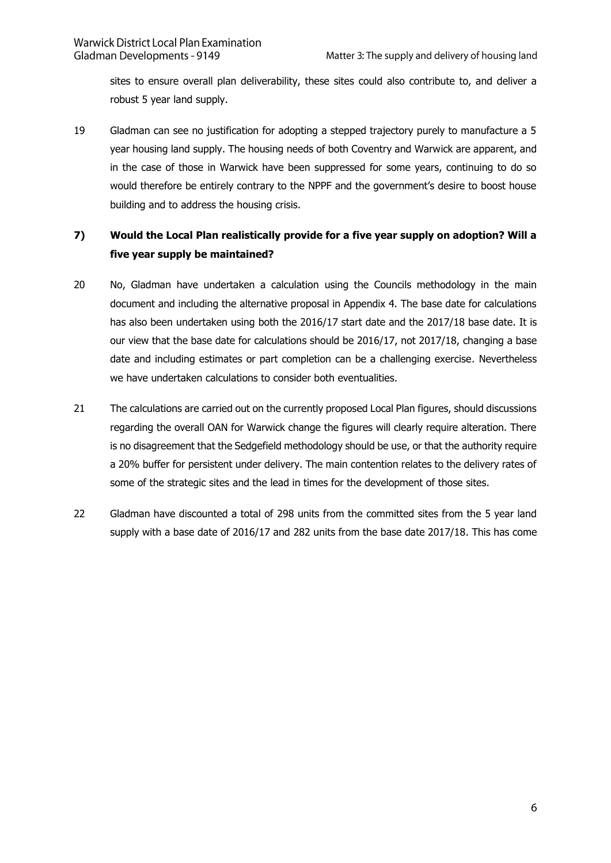sites to ensure overall plan deliverability, these sites could also contribute to, and deliver a robust 5 year land supply.

19 Gladman can see no justification for adopting a stepped trajectory purely to manufacture a 5 year housing land supply. The housing needs of both Coventry and Warwick are apparent, and in the case of those in Warwick have been suppressed for some years, continuing to do so would therefore be entirely contrary to the NPPF and the government's desire to boost house building and to address the housing crisis.

### **7) Would the Local Plan realistically provide for a five year supply on adoption? Will a five year supply be maintained?**

- 20 No, Gladman have undertaken a calculation using the Councils methodology in the main document and including the alternative proposal in Appendix 4. The base date for calculations has also been undertaken using both the 2016/17 start date and the 2017/18 base date. It is our view that the base date for calculations should be 2016/17, not 2017/18, changing a base date and including estimates or part completion can be a challenging exercise. Nevertheless we have undertaken calculations to consider both eventualities.
- 21 The calculations are carried out on the currently proposed Local Plan figures, should discussions regarding the overall OAN for Warwick change the figures will clearly require alteration. There is no disagreement that the Sedgefield methodology should be use, or that the authority require a 20% buffer for persistent under delivery. The main contention relates to the delivery rates of some of the strategic sites and the lead in times for the development of those sites.
- 22 Gladman have discounted a total of 298 units from the committed sites from the 5 year land supply with a base date of 2016/17 and 282 units from the base date 2017/18. This has come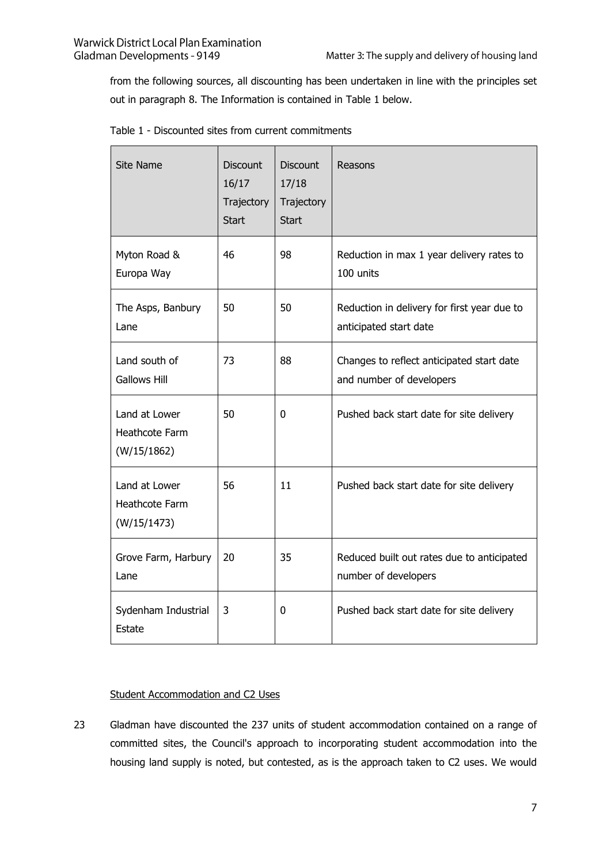from the following sources, all discounting has been undertaken in line with the principles set out in paragraph 8. The Information is contained in Table 1 below.

| <b>Site Name</b>                                      | <b>Discount</b><br>16/17<br>Trajectory<br><b>Start</b> | <b>Discount</b><br>17/18<br>Trajectory<br><b>Start</b> | Reasons                                                               |
|-------------------------------------------------------|--------------------------------------------------------|--------------------------------------------------------|-----------------------------------------------------------------------|
| Myton Road &<br>Europa Way                            | 46                                                     | 98                                                     | Reduction in max 1 year delivery rates to<br>100 units                |
| The Asps, Banbury<br>Lane                             | 50                                                     | 50                                                     | Reduction in delivery for first year due to<br>anticipated start date |
| Land south of<br><b>Gallows Hill</b>                  | 73                                                     | 88                                                     | Changes to reflect anticipated start date<br>and number of developers |
| Land at Lower<br>Heathcote Farm<br>(W/15/1862)        | 50                                                     | 0                                                      | Pushed back start date for site delivery                              |
| Land at Lower<br><b>Heathcote Farm</b><br>(W/15/1473) | 56                                                     | 11                                                     | Pushed back start date for site delivery                              |
| Grove Farm, Harbury<br>Lane                           | 20                                                     | 35                                                     | Reduced built out rates due to anticipated<br>number of developers    |
| Sydenham Industrial<br>Estate                         | 3                                                      | 0                                                      | Pushed back start date for site delivery                              |

| Table 1 - Discounted sites from current commitments |  |  |  |
|-----------------------------------------------------|--|--|--|
|-----------------------------------------------------|--|--|--|

#### Student Accommodation and C2 Uses

23 Gladman have discounted the 237 units of student accommodation contained on a range of committed sites, the Council's approach to incorporating student accommodation into the housing land supply is noted, but contested, as is the approach taken to C2 uses. We would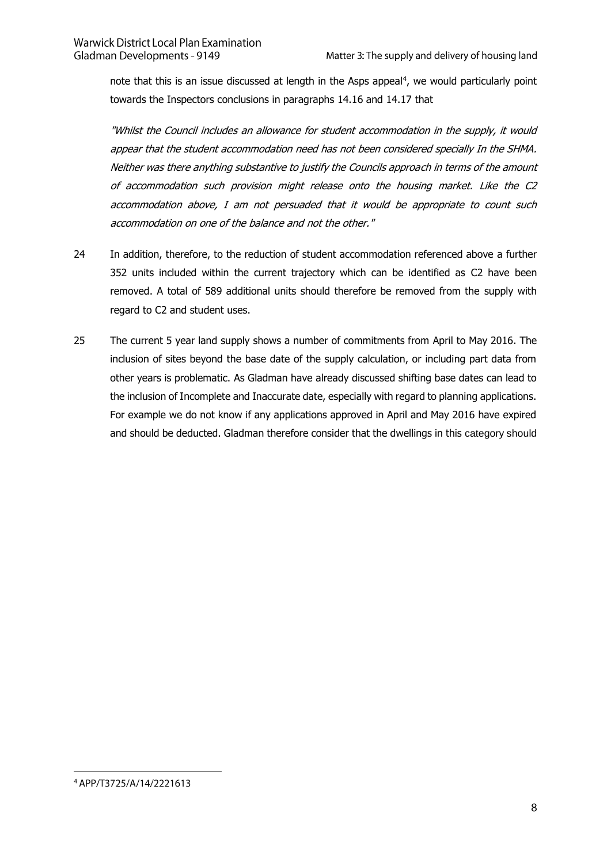note that this is an issue discussed at length in the Asps appeal $<sup>4</sup>$ , we would particularly point</sup> towards the Inspectors conclusions in paragraphs 14.16 and 14.17 that

"Whilst the Council includes an allowance for student accommodation in the supply, it would appear that the student accommodation need has not been considered specially In the SHMA. Neither was there anything substantive to justify the Councils approach in terms of the amount of accommodation such provision might release onto the housing market. Like the C2 accommodation above, I am not persuaded that it would be appropriate to count such accommodation on one of the balance and not the other."

- 24 In addition, therefore, to the reduction of student accommodation referenced above a further 352 units included within the current trajectory which can be identified as C2 have been removed. A total of 589 additional units should therefore be removed from the supply with regard to C2 and student uses.
- 25 The current 5 year land supply shows a number of commitments from April to May 2016. The inclusion of sites beyond the base date of the supply calculation, or including part data from other years is problematic. As Gladman have already discussed shifting base dates can lead to the inclusion of Incomplete and Inaccurate date, especially with regard to planning applications. For example we do not know if any applications approved in April and May 2016 have expired and should be deducted. Gladman therefore consider that the dwellings in this category should

<sup>4</sup> APP/T3725/A/14/2221613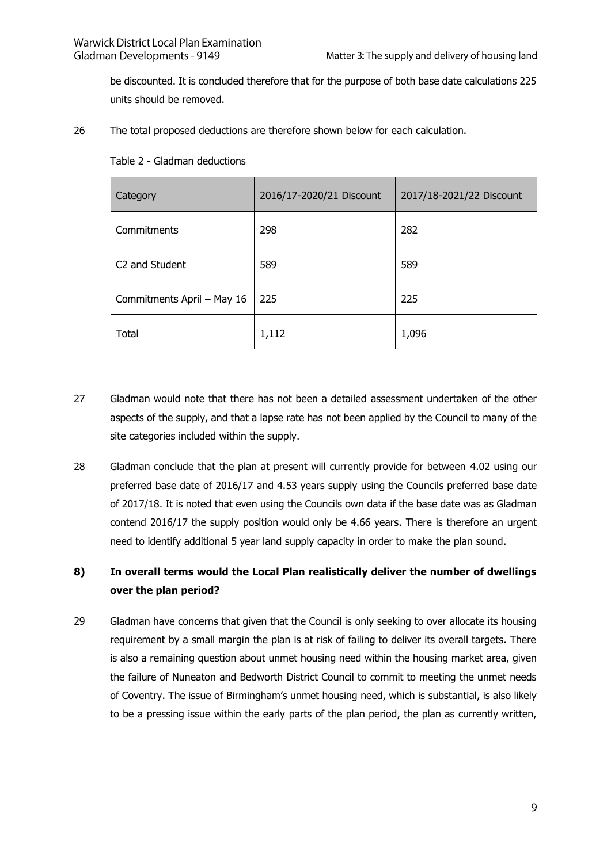be discounted. It is concluded therefore that for the purpose of both base date calculations 225 units should be removed.

26 The total proposed deductions are therefore shown below for each calculation.

| Category                   | 2016/17-2020/21 Discount | 2017/18-2021/22 Discount |
|----------------------------|--------------------------|--------------------------|
| Commitments                | 298                      | 282                      |
| C <sub>2</sub> and Student | 589                      | 589                      |
| Commitments April - May 16 | 225                      | 225                      |
| Total                      | 1,112                    | 1,096                    |

Table 2 - Gladman deductions

- 27 Gladman would note that there has not been a detailed assessment undertaken of the other aspects of the supply, and that a lapse rate has not been applied by the Council to many of the site categories included within the supply.
- 28 Gladman conclude that the plan at present will currently provide for between 4.02 using our preferred base date of 2016/17 and 4.53 years supply using the Councils preferred base date of 2017/18. It is noted that even using the Councils own data if the base date was as Gladman contend 2016/17 the supply position would only be 4.66 years. There is therefore an urgent need to identify additional 5 year land supply capacity in order to make the plan sound.

#### **8) In overall terms would the Local Plan realistically deliver the number of dwellings over the plan period?**

29 Gladman have concerns that given that the Council is only seeking to over allocate its housing requirement by a small margin the plan is at risk of failing to deliver its overall targets. There is also a remaining question about unmet housing need within the housing market area, given the failure of Nuneaton and Bedworth District Council to commit to meeting the unmet needs of Coventry. The issue of Birmingham's unmet housing need, which is substantial, is also likely to be a pressing issue within the early parts of the plan period, the plan as currently written,